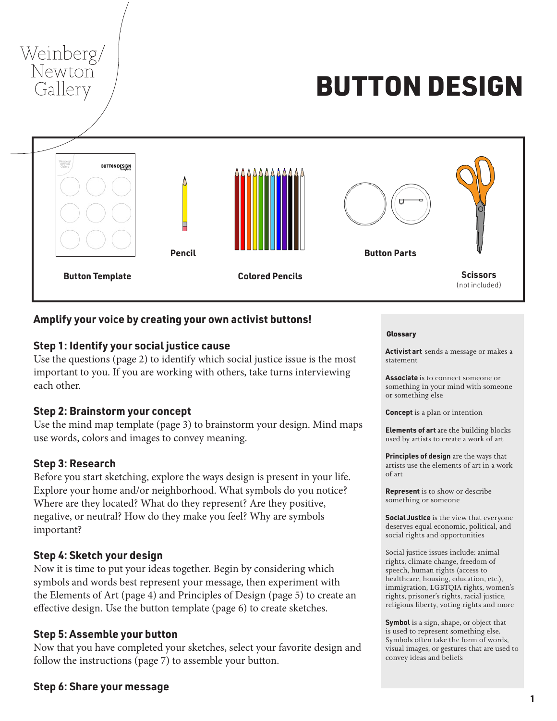

#### **Amplify your voice by creating your own activist buttons!**

#### **Step 1: Identify your social justice cause**

Use the questions (page 2) to identify which social justice issue is the most important to you. If you are working with others, take turns interviewing each other.

#### **Step 2: Brainstorm your concept**

Use the mind map template (page 3) to brainstorm your design. Mind maps use words, colors and images to convey meaning.

#### **Step 3: Research**

Before you start sketching, explore the ways design is present in your life. Explore your home and/or neighborhood. What symbols do you notice? Where are they located? What do they represent? Are they positive, negative, or neutral? How do they make you feel? Why are symbols important?

#### **Step 4: Sketch your design**

Now it is time to put your ideas together. Begin by considering which symbols and words best represent your message, then experiment with the Elements of Art (page 4) and Principles of Design (page 5) to create an effective design. Use the button template (page 6) to create sketches.

#### **Step 5: Assemble your button**

Now that you have completed your sketches, select your favorite design and follow the instructions (page 7) to assemble your button.

#### **Step 6: Share your message**

#### **Glossary**

**Activist art** sends a message or makes a statement

**Associate** is to connect someone or something in your mind with someone or something else

**Concept** is a plan or intention

**Elements of art** are the building blocks used by artists to create a work of art

**Principles of design** are the ways that artists use the elements of art in a work of art

**Represent** is to show or describe something or someone

**Social Justice** is the view that everyone deserves equal economic, political, and social rights and opportunities

Social justice issues include: animal rights, climate change, freedom of speech, human rights (access to healthcare, housing, education, etc.), immigration, LGBTQIA rights, women's rights, prisoner's rights, racial justice, religious liberty, voting rights and more

**Symbol** is a sign, shape, or object that is used to represent something else. Symbols often take the form of words, visual images, or gestures that are used to convey ideas and beliefs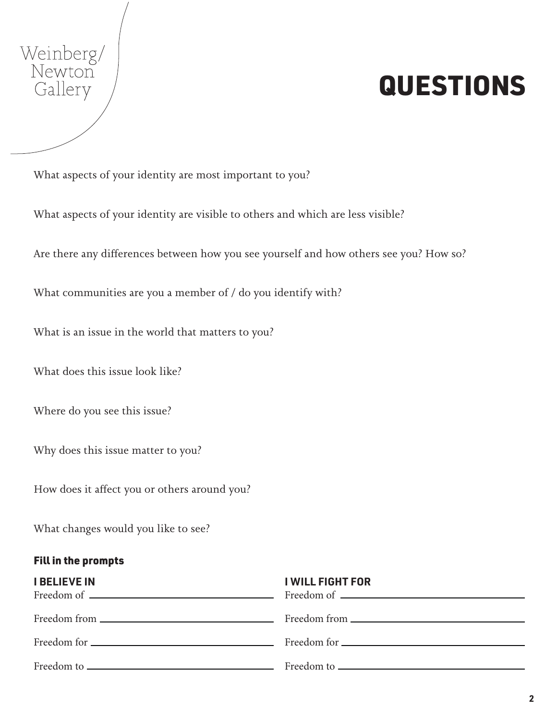## Weinberg/ Newton Gallery

# QUESTIONS

What aspects of your identity are most important to you?

What aspects of your identity are visible to others and which are less visible?

Are there any differences between how you see yourself and how others see you? How so?

What communities are you a member of / do you identify with?

What is an issue in the world that matters to you?

What does this issue look like?

Where do you see this issue?

Why does this issue matter to you?

How does it affect you or others around you?

What changes would you like to see?

### Fill in the prompts

| <b>I BELIEVE IN</b> | <b>I WILL FIGHT FOR</b> |
|---------------------|-------------------------|
|                     |                         |
|                     |                         |
|                     |                         |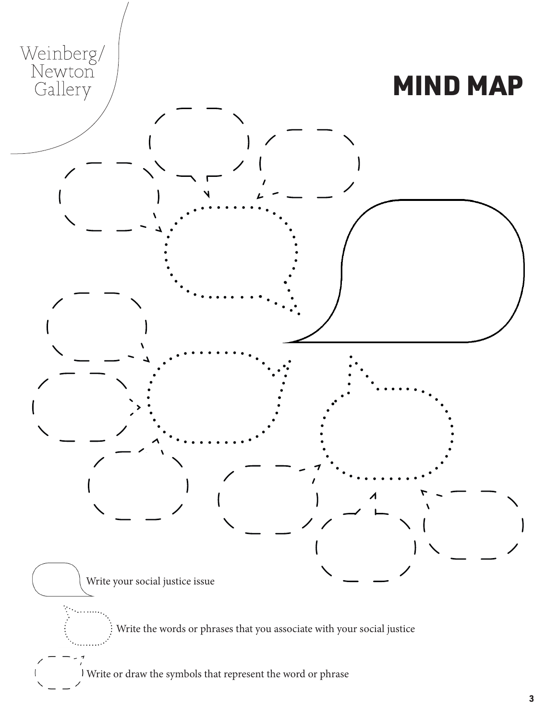

 **3**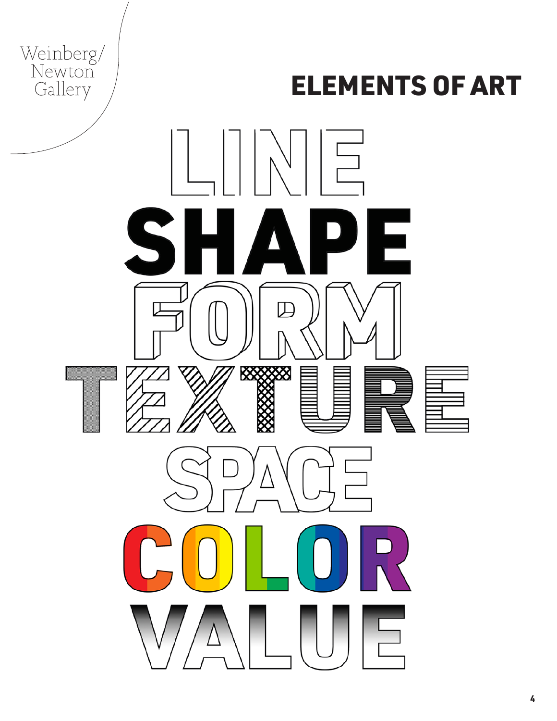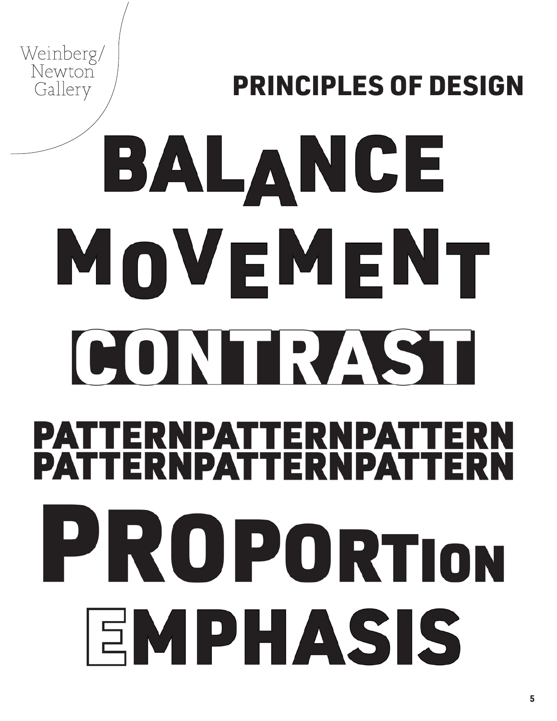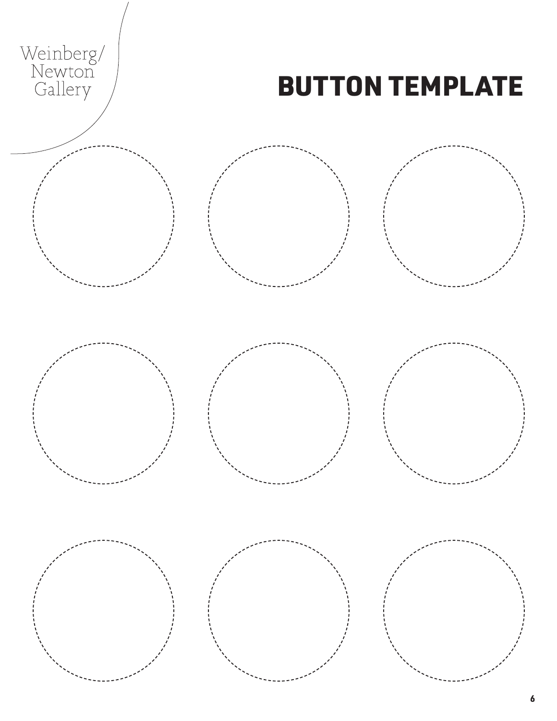